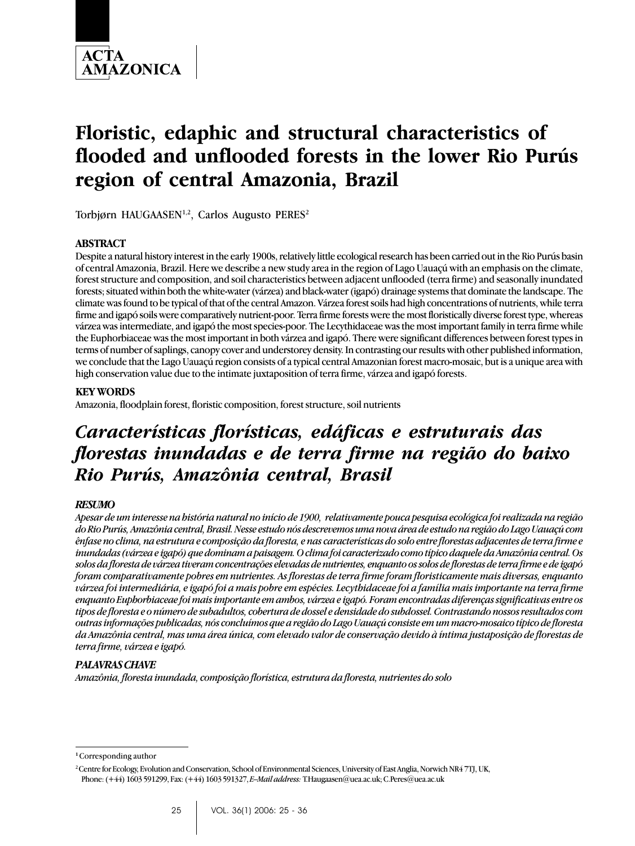

# **Floristic, edaphic and structural characteristics of flooded and unflooded forests in the lower Rio Purús region of central Amazonia, Brazil**

Torbjørn HAUGAASEN<sup>1,2</sup>, Carlos Augusto PERES<sup>2</sup>

## **ABSTRACT**

Despite a natural history interest in the early 1900s, relatively little ecological research has been carried out in the Rio Purús basin of central Amazonia, Brazil. Here we describe a new study area in the region of Lago Uauaçú with an emphasis on the climate, forest structure and composition, and soil characteristics between adjacent unflooded (terra firme) and seasonally inundated forests; situated within both the white-water (várzea) and black-water (igapó) drainage systems that dominate the landscape. The climate was found to be typical of that of the central Amazon. Várzea forest soils had high concentrations of nutrients, while terra firme and igapó soils were comparatively nutrient-poor. Terra firme forests were the most floristically diverse forest type, whereas várzea was intermediate, and igapó the most species-poor. The Lecythidaceae was the most important family in terra firme while the Euphorbiaceae was the most important in both várzea and igapó. There were significant differences between forest types in terms of number of saplings, canopy cover and understorey density. In contrasting our results with other published information, we conclude that the Lago Uauaçú region consists of a typical central Amazonian forest macro-mosaic, but is a unique area with high conservation value due to the intimate juxtaposition of terra firme, várzea and igapó forests.

## **KEY WORDS**

Amazonia, floodplain forest, floristic composition, forest structure, soil nutrients

## *Características florísticas, edáficas e estruturais das florestas inundadas e de terra firme na região do baixo Rio Purús, Amazônia central, Brasil*

## *RESUMO*

*Apesar de um interesse na história natural no início de 1900, relativamente pouca pesquisa ecológica foi realizada na região do Rio Purús, Amazônia central, Brasil. Nesse estudo nós descrevemos uma nova área de estudo na região do Lago Uauaçú com ênfase no clima, na estrutura e composição da floresta, e nas características do solo entre florestas adjacentes de terra firme e inundadas (várzea e igapó) que dominam a paisagem. O clima foi caracterizado como típico daquele da Amazônia central. Os solos da floresta de várzea tiveram concentrações elevadas de nutrientes, enquanto os solos de florestas de terra firme e de igapó foram comparativamente pobres em nutrientes. As florestas de terra firme foram floristicamente mais diversas, enquanto várzea foi intermediária, e igapó foi a mais pobre em espécies. Lecythidaceae foi a família mais importante na terra firme enquanto Euphorbiaceae foi mais importante em ambos, várzea e igapó. Foram encontradas diferenças significativas entre os tipos de floresta e o número de subadultos, cobertura de dossel e densidade do subdossel. Contrastando nossos resultados com outras informações publicadas, nós concluímos que a região do Lago Uauaçú consiste em um macro-mosaico típico de floresta da Amazônia central, mas uma área única, com elevado valor de conservação devido à íntima justaposição de florestas de terra firme, várzea e igapó.*

## *PALAVRAS CHAVE*

*Amazônia, floresta inundada, composição florística, estrutura da floresta, nutrientes do solo*

**<sup>1</sup>**Corresponding author

<sup>&</sup>lt;sup>2</sup> Centre for Ecology, Evolution and Conservation, School of Environmental Sciences, University of East Anglia, Norwich NR4 7TJ, UK, Phone: (+44) 1603 591299, Fax: (+44) 1603 591327, *E–Mail address:* T.Haugaasen@uea.ac.uk; C.Peres@uea.ac.uk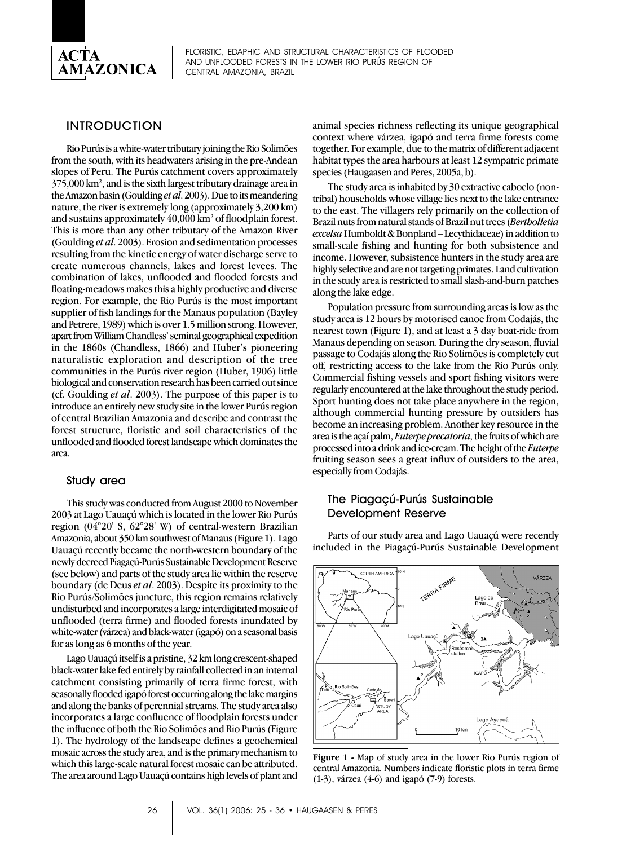

## INTRODUCTION

Rio Purús is a white-water tributary joining the Rio Solimões from the south, with its headwaters arising in the pre-Andean slopes of Peru. The Purús catchment covers approximately 375,000 km², and is the sixth largest tributary drainage area in the Amazon basin (Goulding *et al*. 2003). Due to its meandering nature, the river is extremely long (approximately 3,200 km) and sustains approximately  $40,\!000$  km $^2$  of floodplain forest. This is more than any other tributary of the Amazon River (Goulding *et al*. 2003). Erosion and sedimentation processes resulting from the kinetic energy of water discharge serve to create numerous channels, lakes and forest levees. The combination of lakes, unflooded and flooded forests and floating-meadows makes this a highly productive and diverse region. For example, the Rio Purús is the most important supplier of fish landings for the Manaus population (Bayley and Petrere, 1989) which is over 1.5 million strong. However, apart from William Chandless' seminal geographical expedition in the 1860s (Chandless, 1866) and Huber's pioneering naturalistic exploration and description of the tree communities in the Purús river region (Huber, 1906) little biological and conservation research has been carried out since (cf. Goulding *et al*. 2003). The purpose of this paper is to introduce an entirely new study site in the lower Purús region of central Brazilian Amazonia and describe and contrast the forest structure, floristic and soil characteristics of the unflooded and flooded forest landscape which dominates the area.

#### Study area

This study was conducted from August 2000 to November 2003 at Lago Uauaçú which is located in the lower Rio Purús region (04°20' S, 62°28' W) of central-western Brazilian Amazonia, about 350 km southwest of Manaus (Figure 1). Lago Uauaçú recently became the north-western boundary of the newly decreed Piagaçú-Purús Sustainable Development Reserve (see below) and parts of the study area lie within the reserve boundary (de Deus *et al*. 2003). Despite its proximity to the Rio Purús/Solimões juncture, this region remains relatively undisturbed and incorporates a large interdigitated mosaic of unflooded (terra firme) and flooded forests inundated by white-water (várzea) and black-water (igapó) on a seasonal basis for as long as 6 months of the year.

Lago Uauaçú itself is a pristine, 32 km long crescent-shaped black-water lake fed entirely by rainfall collected in an internal catchment consisting primarily of terra firme forest, with seasonally flooded igapó forest occurring along the lake margins and along the banks of perennial streams. The study area also incorporates a large confluence of floodplain forests under the influence of both the Rio Solimões and Rio Purús (Figure 1). The hydrology of the landscape defines a geochemical mosaic across the study area, and is the primary mechanism to which this large-scale natural forest mosaic can be attributed. The area around Lago Uauaçú contains high levels of plant and

animal species richness reflecting its unique geographical context where várzea, igapó and terra firme forests come together. For example, due to the matrix of different adjacent habitat types the area harbours at least 12 sympatric primate species (Haugaasen and Peres, 2005a, b).

The study area is inhabited by 30 extractive caboclo (nontribal) households whose village lies next to the lake entrance to the east. The villagers rely primarily on the collection of Brazil nuts from natural stands of Brazil nut trees (*Bertholletia excelsa* Humboldt & Bonpland – Lecythidaceae) in addition to small-scale fishing and hunting for both subsistence and income. However, subsistence hunters in the study area are highly selective and are not targeting primates. Land cultivation in the study area is restricted to small slash-and-burn patches along the lake edge.

Population pressure from surrounding areas is low as the study area is 12 hours by motorised canoe from Codajás, the nearest town (Figure 1), and at least a 3 day boat-ride from Manaus depending on season. During the dry season, fluvial passage to Codajás along the Rio Solimões is completely cut off, restricting access to the lake from the Rio Purús only. Commercial fishing vessels and sport fishing visitors were regularly encountered at the lake throughout the study period. Sport hunting does not take place anywhere in the region, although commercial hunting pressure by outsiders has become an increasing problem. Another key resource in the area is the açaí palm, *Euterpe precatoria*, the fruits of which are processed into a drink and ice-cream. The height of the *Euterpe* fruiting season sees a great influx of outsiders to the area, especially from Codajás.

## The Piagaçú-Purús Sustainable Development Reserve

Parts of our study area and Lago Uauaçú were recently included in the Piagaçú-Purús Sustainable Development



**Figure 1 -** Map of study area in the lower Rio Purús region of central Amazonia. Numbers indicate floristic plots in terra firme (1-3), várzea (4-6) and igapó (7-9) forests.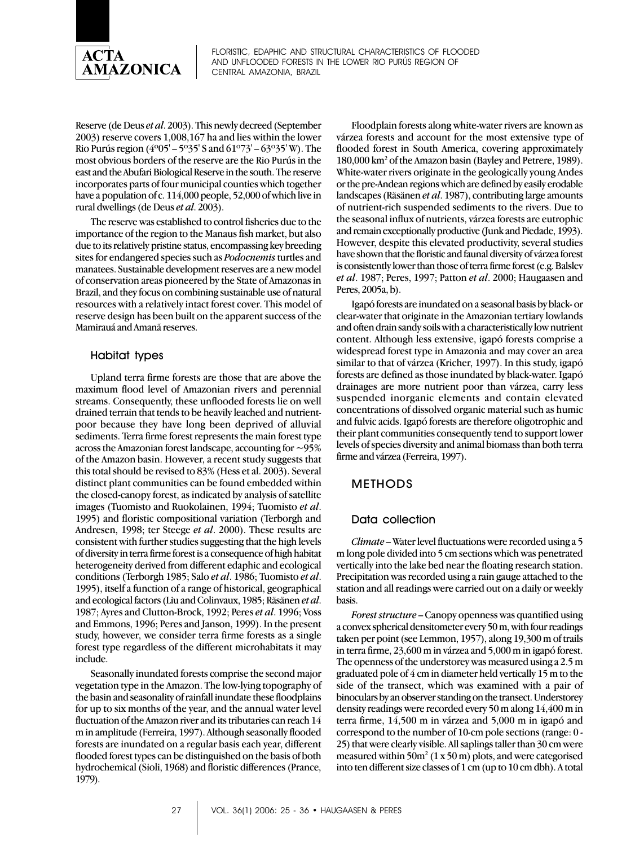

Reserve (de Deus *et al*. 2003). This newly decreed (September 2003) reserve covers 1,008,167 ha and lies within the lower Rio Purús region (4°05' – 5°35' S and 61°73' – 63°35' W). The most obvious borders of the reserve are the Rio Purús in the east and the Abufari Biological Reserve in the south. The reserve incorporates parts of four municipal counties which together have a population of c. 114,000 people, 52,000 of which live in rural dwellings (de Deus *et al*. 2003).

The reserve was established to control fisheries due to the importance of the region to the Manaus fish market, but also due to its relatively pristine status, encompassing key breeding sites for endangered species such as *Podocnemis* turtles and manatees. Sustainable development reserves are a new model of conservation areas pioneered by the State of Amazonas in Brazil, and they focus on combining sustainable use of natural resources with a relatively intact forest cover. This model of reserve design has been built on the apparent success of the Mamirauá and Amanã reserves.

#### Habitat types

Upland terra firme forests are those that are above the maximum flood level of Amazonian rivers and perennial streams. Consequently, these unflooded forests lie on well drained terrain that tends to be heavily leached and nutrientpoor because they have long been deprived of alluvial sediments. Terra firme forest represents the main forest type across the Amazonian forest landscape, accounting for ~95% of the Amazon basin. However, a recent study suggests that this total should be revised to 83% (Hess et al. 2003). Several distinct plant communities can be found embedded within the closed-canopy forest, as indicated by analysis of satellite images (Tuomisto and Ruokolainen, 1994; Tuomisto *et al*. 1995) and floristic compositional variation (Terborgh and Andresen, 1998; ter Steege *et al*. 2000). These results are consistent with further studies suggesting that the high levels of diversity in terra firme forest is a consequence of high habitat heterogeneity derived from different edaphic and ecological conditions (Terborgh 1985; Salo *et al*. 1986; Tuomisto *et al*. 1995), itself a function of a range of historical, geographical and ecological factors (Liu and Colinvaux, 1985; Räsänen *et al*. 1987; Ayres and Clutton-Brock, 1992; Peres *et al*. 1996; Voss and Emmons, 1996; Peres and Janson, 1999). In the present study, however, we consider terra firme forests as a single forest type regardless of the different microhabitats it may include.

Seasonally inundated forests comprise the second major vegetation type in the Amazon. The low-lying topography of the basin and seasonality of rainfall inundate these floodplains for up to six months of the year, and the annual water level fluctuation of the Amazon river and its tributaries can reach 14 m in amplitude (Ferreira, 1997). Although seasonally flooded forests are inundated on a regular basis each year, different flooded forest types can be distinguished on the basis of both hydrochemical (Sioli, 1968) and floristic differences (Prance, 1979).

Floodplain forests along white-water rivers are known as várzea forests and account for the most extensive type of flooded forest in South America, covering approximately 180,000 km<sup>2</sup> of the Amazon basin (Bayley and Petrere, 1989). White-water rivers originate in the geologically young Andes or the pre-Andean regions which are defined by easily erodable landscapes (Räsänen *et al*. 1987), contributing large amounts of nutrient-rich suspended sediments to the rivers. Due to the seasonal influx of nutrients, várzea forests are eutrophic and remain exceptionally productive (Junk and Piedade, 1993). However, despite this elevated productivity, several studies have shown that the floristic and faunal diversity of várzea forest is consistently lower than those of terra firme forest (e.g. Balslev *et al*. 1987; Peres, 1997; Patton *et al*. 2000; Haugaasen and Peres, 2005a, b).

Igapó forests are inundated on a seasonal basis by black- or clear-water that originate in the Amazonian tertiary lowlands and often drain sandy soils with a characteristically low nutrient content. Although less extensive, igapó forests comprise a widespread forest type in Amazonia and may cover an area similar to that of várzea (Kricher, 1997). In this study, igapó forests are defined as those inundated by black-water. Igapó drainages are more nutrient poor than várzea, carry less suspended inorganic elements and contain elevated concentrations of dissolved organic material such as humic and fulvic acids. Igapó forests are therefore oligotrophic and their plant communities consequently tend to support lower levels of species diversity and animal biomass than both terra firme and várzea (Ferreira, 1997).

#### METHODS

#### Data collection

*Climate* – Water level fluctuations were recorded using a 5 m long pole divided into 5 cm sections which was penetrated vertically into the lake bed near the floating research station. Precipitation was recorded using a rain gauge attached to the station and all readings were carried out on a daily or weekly basis.

*Forest structure* – Canopy openness was quantified using a convex spherical densitometer every 50 m, with four readings taken per point (see Lemmon, 1957), along 19,300 m of trails in terra firme, 23,600 m in várzea and 5,000 m in igapó forest. The openness of the understorey was measured using a 2.5 m graduated pole of 4 cm in diameter held vertically 15 m to the side of the transect, which was examined with a pair of binoculars by an observer standing on the transect. Understorey density readings were recorded every 50 m along 14,400 m in terra firme, 14,500 m in várzea and 5,000 m in igapó and correspond to the number of 10-cm pole sections (range: 0 - 25) that were clearly visible. All saplings taller than 30 cm were measured within  $50m^2$  (1 x 50 m) plots, and were categorised into ten different size classes of 1 cm (up to 10 cm dbh). A total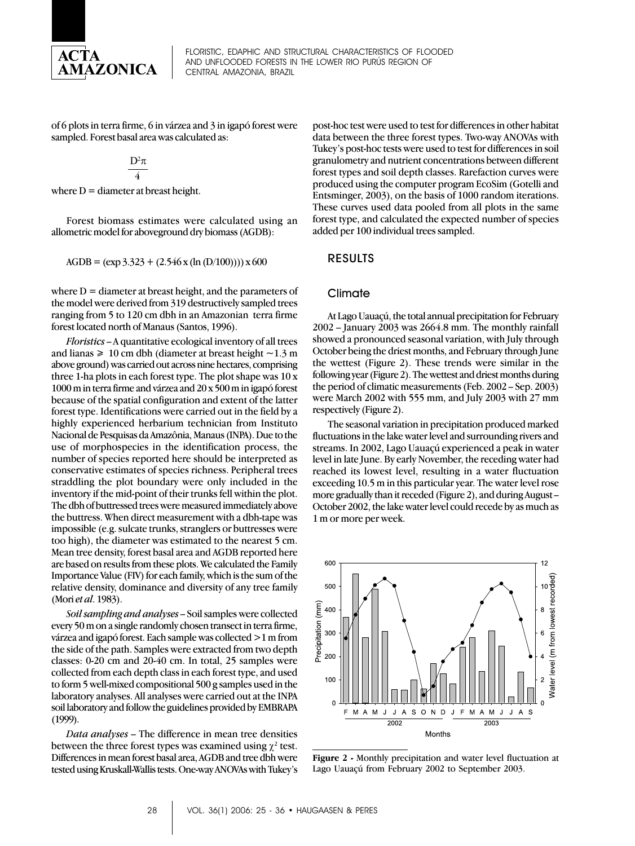

of 6 plots in terra firme, 6 in várzea and 3 in igapó forest were sampled. Forest basal area was calculated as:

$$
\frac{D^2\pi}{4}
$$

where  $D =$  diameter at breast height.

Forest biomass estimates were calculated using an allometric model for aboveground dry biomass (AGDB):

$$
AGDB = (exp 3.323 + (2.546 x (ln (D/100)))) x 600
$$

where  $D =$  diameter at breast height, and the parameters of the model were derived from 319 destructively sampled trees ranging from 5 to 120 cm dbh in an Amazonian terra firme forest located north of Manaus (Santos, 1996).

*Floristics* – A quantitative ecological inventory of all trees and lianas  $\geq 10$  cm dbh (diameter at breast height  $\sim$  1.3 m above ground) was carried out across nine hectares, comprising three 1-ha plots in each forest type. The plot shape was 10 x 1000 m in terra firme and várzea and 20 x 500 m in igapó forest because of the spatial configuration and extent of the latter forest type. Identifications were carried out in the field by a highly experienced herbarium technician from Instituto Nacional de Pesquisas da Amazônia, Manaus (INPA). Due to the use of morphospecies in the identification process, the number of species reported here should be interpreted as conservative estimates of species richness. Peripheral trees straddling the plot boundary were only included in the inventory if the mid-point of their trunks fell within the plot. The dbh of buttressed trees were measured immediately above the buttress. When direct measurement with a dbh-tape was impossible (e.g. sulcate trunks, stranglers or buttresses were too high), the diameter was estimated to the nearest 5 cm. Mean tree density, forest basal area and AGDB reported here are based on results from these plots. We calculated the Family Importance Value (FIV) for each family, which is the sum of the relative density, dominance and diversity of any tree family (Mori *et al*. 1983).

*Soil sampling and analyses* – Soil samples were collected every 50 m on a single randomly chosen transect in terra firme, várzea and igapó forest. Each sample was collected >1 m from the side of the path. Samples were extracted from two depth classes: 0-20 cm and 20-40 cm. In total, 25 samples were collected from each depth class in each forest type, and used to form 5 well-mixed compositional 500 g samples used in the laboratory analyses. All analyses were carried out at the INPA soil laboratory and follow the guidelines provided by EMBRAPA (1999).

*Data analyses* – The difference in mean tree densities between the three forest types was examined using  $\chi^2$  test. Differences in mean forest basal area, AGDB and tree dbh were tested using Kruskall-Wallis tests. One-way ANOVAs with Tukey's

post-hoc test were used to test for differences in other habitat data between the three forest types. Two-way ANOVAs with Tukey's post-hoc tests were used to test for differences in soil granulometry and nutrient concentrations between different forest types and soil depth classes. Rarefaction curves were produced using the computer program EcoSim (Gotelli and Entsminger, 2003), on the basis of 1000 random iterations. These curves used data pooled from all plots in the same forest type, and calculated the expected number of species added per 100 individual trees sampled.

#### RESULTS

#### **Climate**

At Lago Uauaçú, the total annual precipitation for February 2002 – January 2003 was 2664.8 mm. The monthly rainfall showed a pronounced seasonal variation, with July through October being the driest months, and February through June the wettest (Figure 2). These trends were similar in the following year (Figure 2). The wettest and driest months during the period of climatic measurements (Feb. 2002 – Sep. 2003) were March 2002 with 555 mm, and July 2003 with 27 mm respectively (Figure 2).

The seasonal variation in precipitation produced marked fluctuations in the lake water level and surrounding rivers and streams. In 2002, Lago Uauaçú experienced a peak in water level in late June. By early November, the receding water had reached its lowest level, resulting in a water fluctuation exceeding 10.5 m in this particular year. The water level rose more gradually than it receded (Figure 2), and during August – October 2002, the lake water level could recede by as much as 1 m or more per week.



**Figure 2 -** Monthly precipitation and water level fluctuation at Lago Uauaçú from February 2002 to September 2003.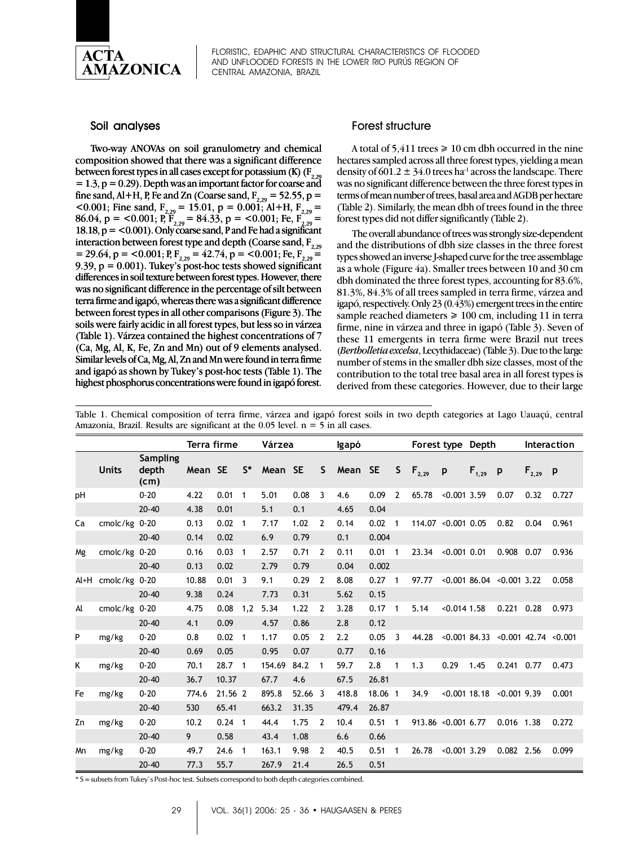

#### Soil analyses

Two-way ANOVAs on soil granulometry and chemical composition showed that there was a significant difference between forest types in all cases except for potassium (K) (F $_{\rm 2,29}$  $= 1.3$ ,  $p = 0.29$ ). Depth was an important factor for coarse and fine sand, Al+H, P, Fe and Zn (Coarse sand,  $F_{2,29} = 52.55$ , p = <0.001; Fine sand,  $F_{2,29} = 15.01$ ,  $p = 0.001$ ; Al+H,  $F_{2,29} =$ 86.04, p = <0.001; P, F<sub>2,29</sub> = 84.33, p = <0.001; Fe, F<sub>2,29</sub> =  $18.18$ ,  $p = < 0.001$ ). Only coarse sand, P and Fe had a significant interaction between forest type and depth (Coarse sand,  $F_{2,29}$ = 29.64, p = <0.001; P, F<sub>2,29</sub> = 42.74, p = <0.001; Fe, F<sub>2,29</sub> 9.39,  $p = 0.001$ . Tukey's post-hoc tests showed significant differences in soil texture between forest types. However, there was no significant difference in the percentage of silt between terra firme and igapó, whereas there was a significant difference between forest types in all other comparisons (Figure 3). The soils were fairly acidic in all forest types, but less so in várzea (Table 1). Várzea contained the highest concentrations of 7 (Ca, Mg, Al, K, Fe, Zn and Mn) out of 9 elements analysed. Similar levels of Ca, Mg, Al, Zn and Mn were found in terra firme and igapó as shown by Tukey's post-hoc tests (Table 1). The highest phosphorus concentrations were found in igapó forest.

#### Forest structure

A total of  $5,411$  trees  $\ge 10$  cm dbh occurred in the nine hectares sampled across all three forest types, yielding a mean density of  $601.2 \pm 34.0$  trees ha<sup>-1</sup> across the landscape. There was no significant difference between the three forest types in terms of mean number of trees, basal area and AGDB per hectare (Table 2). Similarly, the mean dbh of trees found in the three forest types did not differ significantly (Table 2).

The overall abundance of trees was strongly size-dependent and the distributions of dbh size classes in the three forest types showed an inverse J-shaped curve for the tree assemblage as a whole (Figure 4a). Smaller trees between 10 and 30 cm dbh dominated the three forest types, accounting for 83.6%, 81.3%, 84.3% of all trees sampled in terra firme, várzea and igapó, respectively. Only 23 (0.43%) emergent trees in the entire sample reached diameters  $\geq 100$  cm, including 11 in terra firme, nine in várzea and three in igapó (Table 3). Seven of these 11 emergents in terra firme were Brazil nut trees (*Bertholletia excelsa*, Lecythidaceae) (Table 3). Due to the large number of stems in the smaller dbh size classes, most of the contribution to the total tree basal area in all forest types is derived from these categories. However, due to their large

Table 1. Chemical composition of terra firme, várzea and igapó forest soils in two depth categories at Lago Uauaçú, central Amazonia, Brazil. Results are significant at the  $0.05$  level.  $n = 5$  in all cases.

|    |                    |                                               | Terra firme |                |                | Várzea  |         |                | Igapó   |         |                | Forest type Depth     |                |                 |                                           |              | <b>Interaction</b> |
|----|--------------------|-----------------------------------------------|-------------|----------------|----------------|---------|---------|----------------|---------|---------|----------------|-----------------------|----------------|-----------------|-------------------------------------------|--------------|--------------------|
|    | <b>Units</b>       | <b>Sampling</b><br>depth<br>(c <sub>m</sub> ) | Mean SE     |                | $\mathsf{S}^*$ | Mean SE |         | S.             | Mean SE |         | S              | $F_{2,29}$            | p              | $F_{1,29}$ p    |                                           | $F_{2,29}$ P |                    |
| рH |                    | $0 - 20$                                      | 4.22        | 0.01           | $\mathbf{1}$   | 5.01    | 0.08    | 3              | 4.6     | 0.09    | $\overline{2}$ | 65.78                 | $< 0.001$ 3.59 |                 | 0.07                                      | 0.32         | 0.727              |
|    |                    | $20 - 40$                                     | 4.38        | 0.01           |                | 5.1     | 0.1     |                | 4.65    | 0.04    |                |                       |                |                 |                                           |              |                    |
| Ca | cmolc/kg 0-20      |                                               | 0.13        | 0.02           | $\overline{1}$ | 7.17    | 1.02    | $\overline{2}$ | 0.14    | 0.02    | $\mathbf{1}$   | $114.07$ < 0.001 0.05 |                |                 | 0.82                                      | 0.04         | 0.961              |
|    |                    | $20 - 40$                                     | 0.14        | 0.02           |                | 6.9     | 0.79    |                | 0.1     | 0.004   |                |                       |                |                 |                                           |              |                    |
| Mg | cmolc/kg 0-20      |                                               | 0.16        | 0.03           | 1              | 2.57    | 0.71    | $\overline{2}$ | 0.11    | 0.01    | $\mathbf{1}$   | 23.34                 | $< 0.001$ 0.01 |                 | 0.908 0.07                                |              | 0.936              |
|    |                    | $20 - 40$                                     | 0.13        | 0.02           |                | 2.79    | 0.79    |                | 0.04    | 0.002   |                |                       |                |                 |                                           |              |                    |
|    | Al+H cmolc/kg 0-20 |                                               | 10.88       | 0.01           | 3              | 9.1     | 0.29    | 2              | 8.08    | 0.27    | $\mathbf{1}$   | 97.77                 |                | $< 0.001$ 86.04 | $< 0.001$ 3.22                            |              | 0.058              |
|    |                    | $20 - 40$                                     | 9.38        | 0.24           |                | 7.73    | 0.31    |                | 5.62    | 0.15    |                |                       |                |                 |                                           |              |                    |
| Al | cmolc/kg 0-20      |                                               | 4.75        | 0.08           | 1,2            | 5.34    | 1.22    | $\overline{2}$ | 3.28    | 0.17    | $\mathbf{1}$   | 5.14                  | $< 0.014$ 1.58 |                 | 0.221                                     | 0.28         | 0.973              |
|    |                    | $20 - 40$                                     | 4.1         | 0.09           |                | 4.57    | 0.86    |                | 2.8     | 0.12    |                |                       |                |                 |                                           |              |                    |
| P  | mg/kg              | $0 - 20$                                      | 0.8         | 0.02           | $\overline{1}$ | 1.17    | 0.05    | $\overline{2}$ | 2.2     | 0.05    | 3              | 44.28                 |                |                 | $< 0.001$ 84.33 $< 0.001$ 42.74 $< 0.001$ |              |                    |
|    |                    | $20 - 40$                                     | 0.69        | 0.05           |                | 0.95    | 0.07    |                | 0.77    | 0.16    |                |                       |                |                 |                                           |              |                    |
| K  | mg/kg              | $0 - 20$                                      | 70.1        | $28.7 \quad 1$ |                | 154.69  | 84.2    | $\mathbf{1}$   | 59.7    | 2.8     | 1              | 1.3                   | 0.29           | 1.45            | $0.241$ $0.77$                            |              | 0.473              |
|    |                    | $20 - 40$                                     | 36.7        | 10.37          |                | 67.7    | 4.6     |                | 67.5    | 26.81   |                |                       |                |                 |                                           |              |                    |
| Fe | mg/kg              | $0 - 20$                                      | 774.6       | 21.56 2        |                | 895.8   | 52.66 3 |                | 418.8   | 18.06 1 |                | 34.9                  |                | $< 0.001$ 18.18 | $< 0.001$ 9.39                            |              | 0.001              |
|    |                    | $20 - 40$                                     | 530         | 65.41          |                | 663.2   | 31.35   |                | 479.4   | 26.87   |                |                       |                |                 |                                           |              |                    |
| Zn | mg/kg              | $0 - 20$                                      | 10.2        | $0.24$ 1       |                | 44.4    | 1.75    | 2              | 10.4    | 0.51    | $\mathbf{1}$   | 913.86 < 0.001 6.77   |                |                 | 0.016 1.38                                |              | 0.272              |
|    |                    | $20 - 40$                                     | 9           | 0.58           |                | 43.4    | 1.08    |                | 6.6     | 0.66    |                |                       |                |                 |                                           |              |                    |
| Mn | mg/kg              | $0 - 20$                                      | 49.7        | 24.6           | 1              | 163.1   | 9.98    | 2              | 40.5    | 0.51    | 1              | 26.78                 | $< 0.001$ 3.29 |                 | 0.082 2.56                                |              | 0.099              |
|    |                    | $20 - 40$                                     | 77.3        | 55.7           |                | 267.9   | 21.4    |                | 26.5    | 0.51    |                |                       |                |                 |                                           |              |                    |

\* S = subsets from Tukey`s Post-hoc test. Subsets correspond to both depth categories combined.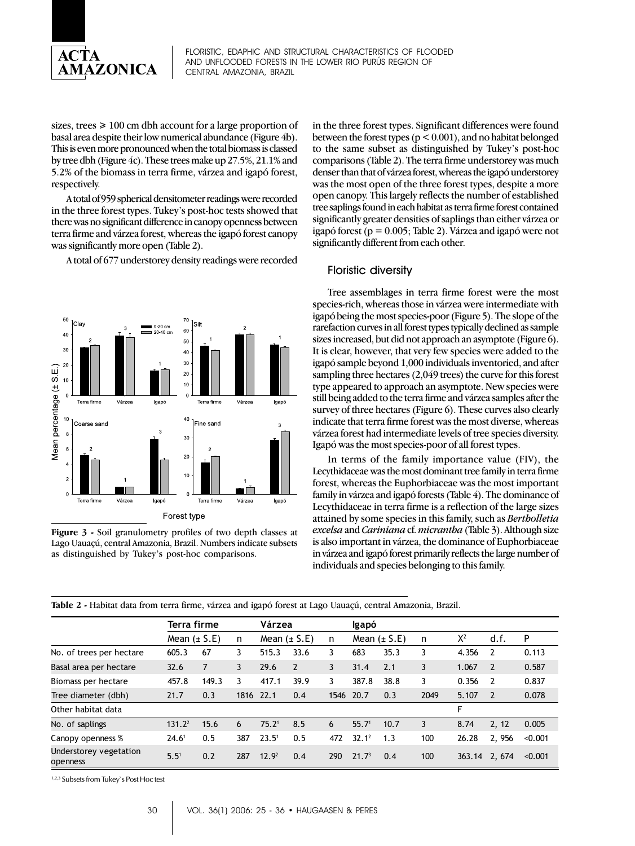

sizes, trees  $\geq 100$  cm dbh account for a large proportion of basal area despite their low numerical abundance (Figure 4b). This is even more pronounced when the total biomass is classed by tree dbh (Figure 4c). These trees make up 27.5%, 21.1% and 5.2% of the biomass in terra firme, várzea and igapó forest, respectively.

A total of 959 spherical densitometer readings were recorded in the three forest types. Tukey's post-hoc tests showed that there was no significant difference in canopy openness between terra firme and várzea forest, whereas the igapó forest canopy was significantly more open (Table 2).

A total of 677 understorey density readings were recorded



**Figure 3 -** Soil granulometry profiles of two depth classes at Lago Uauaçú, central Amazonia, Brazil. Numbers indicate subsets as distinguished by Tukey's post-hoc comparisons.

in the three forest types. Significant differences were found between the forest types ( $p < 0.001$ ), and no habitat belonged to the same subset as distinguished by Tukey's post-hoc comparisons (Table 2). The terra firme understorey was much denser than that of várzea forest, whereas the igapó understorey was the most open of the three forest types, despite a more open canopy. This largely reflects the number of established tree saplings found in each habitat as terra firme forest contained significantly greater densities of saplings than either várzea or igapó forest (p = 0.005; Table 2). Várzea and igapó were not significantly different from each other.

#### Floristic diversity

Tree assemblages in terra firme forest were the most species-rich, whereas those in várzea were intermediate with igapó being the most species-poor (Figure 5). The slope of the rarefaction curves in all forest types typically declined as sample sizes increased, but did not approach an asymptote (Figure 6). It is clear, however, that very few species were added to the igapó sample beyond 1,000 individuals inventoried, and after sampling three hectares (2,049 trees) the curve for this forest type appeared to approach an asymptote. New species were still being added to the terra firme and várzea samples after the survey of three hectares (Figure 6). These curves also clearly indicate that terra firme forest was the most diverse, whereas várzea forest had intermediate levels of tree species diversity. Igapó was the most species-poor of all forest types.

In terms of the family importance value (FIV), the Lecythidaceae was the most dominant tree family in terra firme forest, whereas the Euphorbiaceae was the most important family in várzea and igapó forests (Table 4). The dominance of Lecythidaceae in terra firme is a reflection of the large sizes attained by some species in this family, such as *Bertholletia excelsa* and *Cariniana* cf. *micrantha* (Table 3). Although size is also important in várzea, the dominance of Euphorbiaceae in várzea and igapó forest primarily reflects the large number of individuals and species belonging to this family.

|                                    | Terra firme        |       |     | Várzea            |                  |     | <b>Igapó</b>      |                  |      |        |                |         |
|------------------------------------|--------------------|-------|-----|-------------------|------------------|-----|-------------------|------------------|------|--------|----------------|---------|
|                                    | Mean $(\pm 5.E)$   |       | n   |                   | Mean $(\pm$ S.E) | n   |                   | Mean $(\pm 5.E)$ | n    | $X^2$  | d.f.           | P       |
| No. of trees per hectare           | 605.3              | 67    | 3   | 515.3             | 33.6             | 3   | 683               | 35.3             | 3    | 4.356  | 2              | 0.113   |
| Basal area per hectare             | 32.6               | 7     | 3   | 29.6              | 2                | 3   | 31.4              | 2.1              | 3    | 1.067  | $\overline{2}$ | 0.587   |
| Biomass per hectare                | 457.8              | 149.3 | 3   | 417.1             | 39.9             | 3   | 387.8             | 38.8             | 3    | 0.356  | - 2            | 0.837   |
| Tree diameter (dbh)                | 21.7               | 0.3   |     | 1816 22.1         | 0.4              |     | 1546 20.7         | 0.3              | 2049 | 5.107  | $\overline{2}$ | 0.078   |
| Other habitat data                 |                    |       |     |                   |                  |     |                   |                  |      | F      |                |         |
| No. of saplings                    | 131.2 <sup>2</sup> | 15.6  | 6   | 75.2 <sup>1</sup> | 8.5              | 6   | 55.7 <sup>1</sup> | 10.7             | 3    | 8.74   | 2.12           | 0.005   |
| Canopy openness %                  | 24.6 <sup>1</sup>  | 0.5   | 387 | 23.5 <sup>1</sup> | 0.5              | 472 | $32.1^2$          | 1.3              | 100  | 26.28  | 2,956          | < 0.001 |
| Understorey vegetation<br>openness | 5.5 <sup>1</sup>   | 0.2   | 287 | 12.9 <sup>2</sup> | 0.4              | 290 | 21.7 <sup>3</sup> | 0.4              | 100  | 363.14 | 2.674          | < 0.001 |

**Table 2 -** Habitat data from terra firme, várzea and igapó forest at Lago Uauaçú, central Amazonia, Brazil.

1,2,3 Subsets from Tukey`s Post Hoc test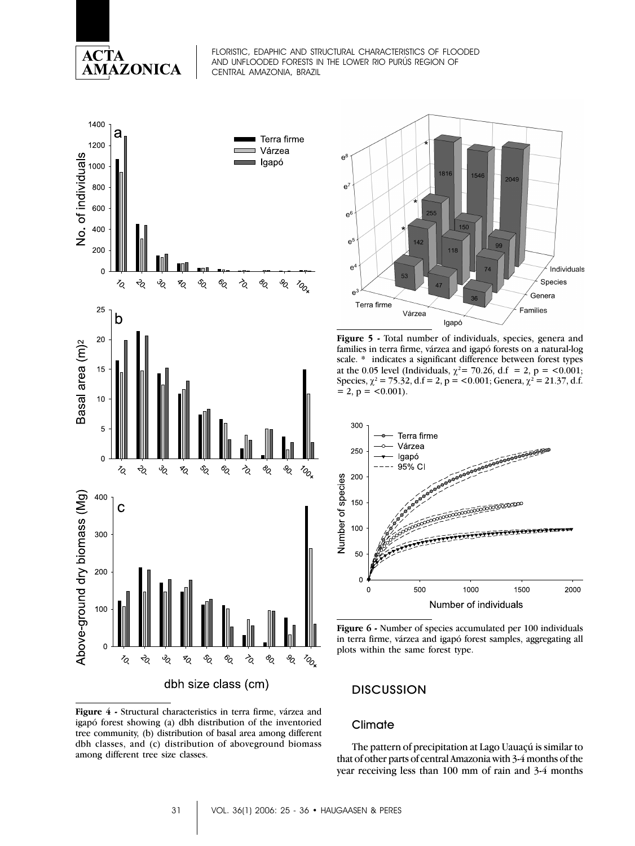







**Figure 5 -** Total number of individuals, species, genera and families in terra firme, várzea and igapó forests on a natural-log scale. \* indicates a significant difference between forest types at the 0.05 level (Individuals,  $\chi^2 = 70.26$ , d.f = 2, p = <0.001; Species,  $\chi^2 = 75.32$ , d.f = 2, p = <0.001; Genera,  $\chi^2 = 21.37$ , d.f.  $= 2$ ,  $p = <0.001$ ).



**Figure 6 -** Number of species accumulated per 100 individuals in terra firme, várzea and igapó forest samples, aggregating all plots within the same forest type.

## **DISCUSSION**

### **Climate**

The pattern of precipitation at Lago Uauaçú is similar to that of other parts of central Amazonia with 3-4 months of the year receiving less than 100 mm of rain and 3-4 months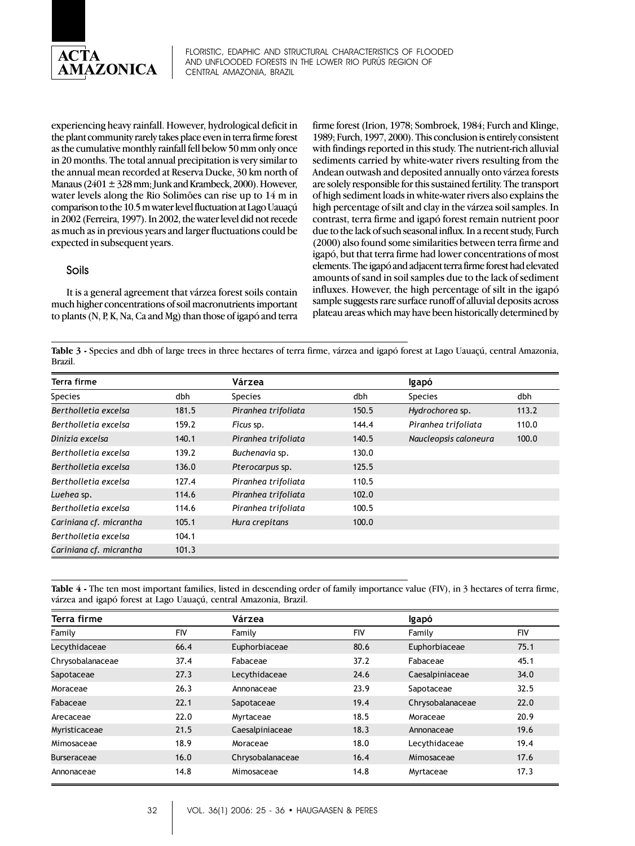

experiencing heavy rainfall. However, hydrological deficit in the plant community rarely takes place even in terra firme forest as the cumulative monthly rainfall fell below 50 mm only once in 20 months. The total annual precipitation is very similar to the annual mean recorded at Reserva Ducke, 30 km north of Manaus (2401 ± 328 mm; Junk and Krambeck, 2000). However, water levels along the Rio Solimões can rise up to 14 m in comparison to the 10.5 m water level fluctuation at Lago Uauaçú in 2002 (Ferreira, 1997). In 2002, the water level did not recede as much as in previous years and larger fluctuations could be expected in subsequent years.

#### Soils

It is a general agreement that várzea forest soils contain much higher concentrations of soil macronutrients important to plants (N, P, K, Na, Ca and Mg) than those of igapó and terra

firme forest (Irion, 1978; Sombroek, 1984; Furch and Klinge, 1989; Furch, 1997, 2000). This conclusion is entirely consistent with findings reported in this study. The nutrient-rich alluvial sediments carried by white-water rivers resulting from the Andean outwash and deposited annually onto várzea forests are solely responsible for this sustained fertility. The transport of high sediment loads in white-water rivers also explains the high percentage of silt and clay in the várzea soil samples. In contrast, terra firme and igapó forest remain nutrient poor due to the lack of such seasonal influx. In a recent study, Furch (2000) also found some similarities between terra firme and igapó, but that terra firme had lower concentrations of most elements. The igapó and adjacent terra firme forest had elevated amounts of sand in soil samples due to the lack of sediment influxes. However, the high percentage of silt in the igapó sample suggests rare surface runoff of alluvial deposits across plateau areas which may have been historically determined by

**Table 3 -** Species and dbh of large trees in three hectares of terra firme, várzea and igapó forest at Lago Uauaçú, central Amazonia, Brazil.

| Terra firme             |       | Várzea              | Igapó |                       |       |
|-------------------------|-------|---------------------|-------|-----------------------|-------|
| <b>Species</b>          | dbh   | <b>Species</b>      | dbh   | <b>Species</b>        | dbh   |
| Bertholletia excelsa    | 181.5 | Piranhea trifoliata | 150.5 | Hydrochorea sp.       | 113.2 |
| Bertholletia excelsa    | 159.2 | Ficus sp.           | 144.4 | Piranhea trifoliata   | 110.0 |
| Dinizia excelsa         | 140.1 | Piranhea trifoliata | 140.5 | Naucleopsis caloneura | 100.0 |
| Bertholletia excelsa    | 139.2 | Buchenavia sp.      | 130.0 |                       |       |
| Bertholletia excelsa    | 136.0 | Pterocarpus sp.     | 125.5 |                       |       |
| Bertholletia excelsa    | 127.4 | Piranhea trifoliata | 110.5 |                       |       |
| Luehea sp.              | 114.6 | Piranhea trifoliata | 102.0 |                       |       |
| Bertholletia excelsa    | 114.6 | Piranhea trifoliata | 100.5 |                       |       |
| Cariniana cf. micrantha | 105.1 | Hura crepitans      | 100.0 |                       |       |
| Bertholletia excelsa    | 104.1 |                     |       |                       |       |
| Cariniana cf. micrantha | 101.3 |                     |       |                       |       |

**Table 4 -** The ten most important families, listed in descending order of family importance value (FIV), in 3 hectares of terra firme, várzea and igapó forest at Lago Uauaçú, central Amazonia, Brazil.

| Terra firme      |            | Várzea           |            | Igapó            |            |  |  |
|------------------|------------|------------------|------------|------------------|------------|--|--|
| Family           | <b>FIV</b> | Family           | <b>FIV</b> | Family           | <b>FIV</b> |  |  |
| Lecythidaceae    | 66.4       | Euphorbiaceae    | 80.6       | Euphorbiaceae    | 75.1       |  |  |
| Chrysobalanaceae | 37.4       | Fabaceae         | 37.2       | Fabaceae         | 45.1       |  |  |
| Sapotaceae       | 27.3       | Lecythidaceae    | 24.6       | Caesalpiniaceae  | 34.0       |  |  |
| Moraceae         | 26.3       | Annonaceae       | 23.9       | Sapotaceae       | 32.5       |  |  |
| Fabaceae         | 22.1       | Sapotaceae       | 19.4       | Chrysobalanaceae | 22.0       |  |  |
| Arecaceae        | 22.0       | Myrtaceae        | 18.5       | Moraceae         | 20.9       |  |  |
| Myristicaceae    | 21.5       | Caesalpiniaceae  | 18.3       | Annonaceae       | 19.6       |  |  |
| Mimosaceae       | 18.9       | Moraceae         | 18.0       | Lecythidaceae    | 19.4       |  |  |
| Burseraceae      | 16.0       | Chrysobalanaceae | 16.4       | Mimosaceae       | 17.6       |  |  |
| Annonaceae       | 14.8       | Mimosaceae       | 14.8       | Myrtaceae        | 17.3       |  |  |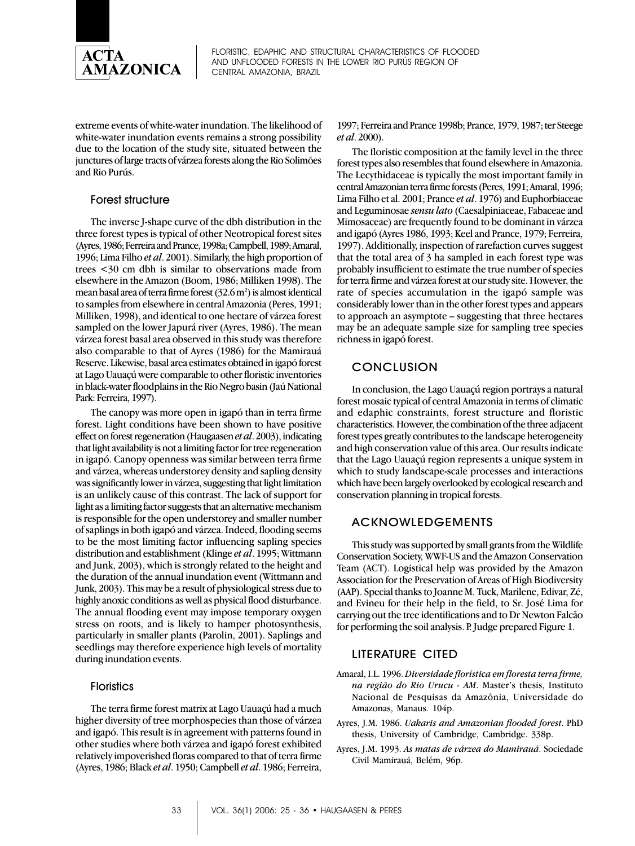

extreme events of white-water inundation. The likelihood of white-water inundation events remains a strong possibility due to the location of the study site, situated between the junctures of large tracts of várzea forests along the Rio Solimões and Rio Purús.

#### Forest structure

The inverse J-shape curve of the dbh distribution in the three forest types is typical of other Neotropical forest sites (Ayres, 1986; Ferreira and Prance, 1998a; Campbell, 1989; Amaral, 1996; Lima Filho *et al*. 2001). Similarly, the high proportion of trees <30 cm dbh is similar to observations made from elsewhere in the Amazon (Boom, 1986; Milliken 1998). The mean basal area of terra firme forest (32.6 m²) is almost identical to samples from elsewhere in central Amazonia (Peres, 1991; Milliken, 1998), and identical to one hectare of várzea forest sampled on the lower Japurá river (Ayres, 1986). The mean várzea forest basal area observed in this study was therefore also comparable to that of Ayres (1986) for the Mamirauá Reserve. Likewise, basal area estimates obtained in igapó forest at Lago Uauaçú were comparable to other floristic inventories in black-water floodplains in the Rio Negro basin (Jaú National Park: Ferreira, 1997).

The canopy was more open in igapó than in terra firme forest. Light conditions have been shown to have positive effect on forest regeneration (Haugaasen *et al*. 2003), indicating that light availability is not a limiting factor for tree regeneration in igapó. Canopy openness was similar between terra firme and várzea, whereas understorey density and sapling density was significantly lower in várzea, suggesting that light limitation is an unlikely cause of this contrast. The lack of support for light as a limiting factor suggests that an alternative mechanism is responsible for the open understorey and smaller number of saplings in both igapó and várzea. Indeed, flooding seems to be the most limiting factor influencing sapling species distribution and establishment (Klinge *et al*. 1995; Wittmann and Junk, 2003), which is strongly related to the height and the duration of the annual inundation event (Wittmann and Junk, 2003). This may be a result of physiological stress due to highly anoxic conditions as well as physical flood disturbance. The annual flooding event may impose temporary oxygen stress on roots, and is likely to hamper photosynthesis, particularly in smaller plants (Parolin, 2001). Saplings and seedlings may therefore experience high levels of mortality during inundation events.

#### **Floristics**

The terra firme forest matrix at Lago Uauaçú had a much higher diversity of tree morphospecies than those of várzea and igapó. This result is in agreement with patterns found in other studies where both várzea and igapó forest exhibited relatively impoverished floras compared to that of terra firme (Ayres, 1986; Black *et al*. 1950; Campbell *et al*. 1986; Ferreira,

1997; Ferreira and Prance 1998b; Prance, 1979, 1987; ter Steege *et al*. 2000).

The floristic composition at the family level in the three forest types also resembles that found elsewhere in Amazonia. The Lecythidaceae is typically the most important family in central Amazonian terra firme forests (Peres, 1991; Amaral, 1996; Lima Filho et al. 2001; Prance *et al*. 1976) and Euphorbiaceae and Leguminosae *sensu lato* (Caesalpiniaceae, Fabaceae and Mimosaceae) are frequently found to be dominant in várzea and igapó (Ayres 1986, 1993; Keel and Prance, 1979; Ferreira, 1997). Additionally, inspection of rarefaction curves suggest that the total area of 3 ha sampled in each forest type was probably insufficient to estimate the true number of species for terra firme and várzea forest at our study site. However, the rate of species accumulation in the igapó sample was considerably lower than in the other forest types and appears to approach an asymptote – suggesting that three hectares may be an adequate sample size for sampling tree species richness in igapó forest.

#### **CONCLUSION**

In conclusion, the Lago Uauaçú region portrays a natural forest mosaic typical of central Amazonia in terms of climatic and edaphic constraints, forest structure and floristic characteristics. However, the combination of the three adjacent forest types greatly contributes to the landscape heterogeneity and high conservation value of this area. Our results indicate that the Lago Uauaçú region represents a unique system in which to study landscape-scale processes and interactions which have been largely overlooked by ecological research and conservation planning in tropical forests.

#### ACKNOWLEDGEMENTS

This study was supported by small grants from the Wildlife Conservation Society, WWF-US and the Amazon Conservation Team (ACT). Logistical help was provided by the Amazon Association for the Preservation of Areas of High Biodiversity (AAP). Special thanks to Joanne M. Tuck, Marilene, Edivar, Zé, and Evineu for their help in the field, to Sr. José Lima for carrying out the tree identifications and to Dr Newton Falcão for performing the soil analysis. P. Judge prepared Figure 1.

## LITERATURE CITED

- Amaral, I.L. 1996. *Diversidade florística em floresta terra firme, na região do Rio Urucu - AM*. Master's thesis, Instituto Nacional de Pesquisas da Amazônia, Universidade do Amazonas, Manaus. 104p.
- Ayres, J.M. 1986. *Uakaris and Amazonian flooded forest*. PhD thesis, University of Cambridge, Cambridge. 338p.
- Ayres, J.M. 1993. *As matas de várzea do Mamirauá*. Sociedade Civil Mamirauá, Belém, 96p.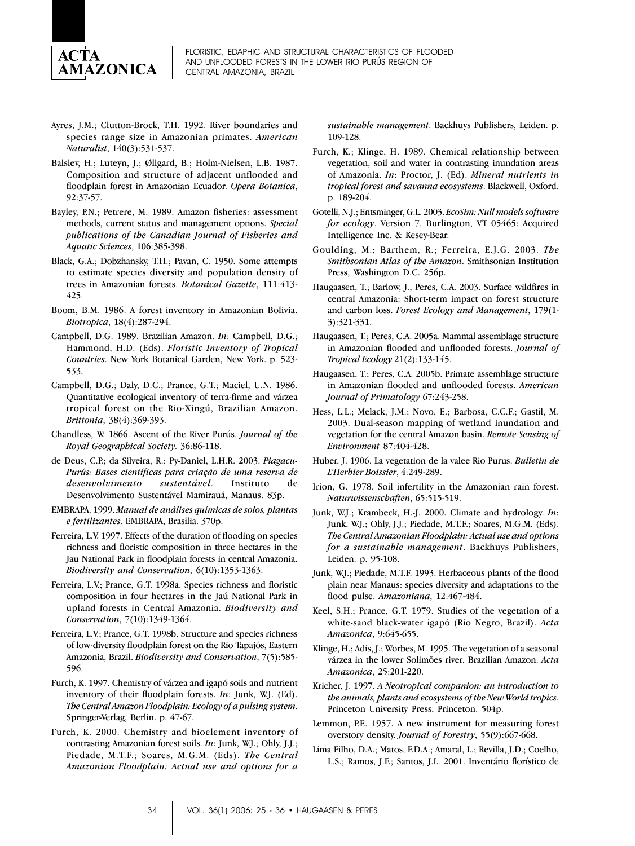

- Ayres, J.M.; Clutton-Brock, T.H. 1992. River boundaries and species range size in Amazonian primates. *American Naturalist*, 140(3):531-537.
- Balslev, H.; Luteyn, J.; Øllgard, B.; Holm-Nielsen, L.B. 1987. Composition and structure of adjacent unflooded and floodplain forest in Amazonian Ecuador. *Opera Botanica*, 92:37-57.
- Bayley, P.N.; Petrere, M. 1989. Amazon fisheries: assessment methods, current status and management options. *Special publications of the Canadian Journal of Fisheries and Aquatic Sciences*, 106:385-398.
- Black, G.A.; Dobzhansky, T.H.; Pavan, C. 1950. Some attempts to estimate species diversity and population density of trees in Amazonian forests. *Botanical Gazette*, 111:413- 425.
- Boom, B.M. 1986. A forest inventory in Amazonian Bolivia. *Biotropica*, 18(4):287-294.
- Campbell, D.G. 1989. Brazilian Amazon. *In*: Campbell, D.G.; Hammond, H.D. (Eds). *Floristic Inventory of Tropical Countries*. New York Botanical Garden, New York. p. 523- 533.
- Campbell, D.G.; Daly, D.C.; Prance, G.T.; Maciel, U.N. 1986. Quantitative ecological inventory of terra-firme and várzea tropical forest on the Rio-Xingú, Brazilian Amazon. *Brittonia*, 38(4):369-393.
- Chandless, W. 1866. Ascent of the River Purús. *Journal of the Royal Geographical Society.* 36:86-118.
- de Deus, C.P.; da Silveira, R.; Py-Daniel, L.H.R. 2003. *Piagacu-Purús: Bases científicas para criação de uma reserva de desenvolvimento sustentável*. Instituto de Desenvolvimento Sustentável Mamirauá, Manaus. 83p.
- EMBRAPA. 1999. *Manual de análises químicas de solos, plantas e fertilizantes*. EMBRAPA, Brasília. 370p.
- Ferreira, L.V. 1997. Effects of the duration of flooding on species richness and floristic composition in three hectares in the Jau National Park in floodplain forests in central Amazonia. *Biodiversity and Conservation*, 6(10):1353-1363.
- Ferreira, L.V.; Prance, G.T. 1998a. Species richness and floristic composition in four hectares in the Jaú National Park in upland forests in Central Amazonia. *Biodiversity and Conservation*, 7(10):1349-1364.
- Ferreira, L.V.; Prance, G.T. 1998b. Structure and species richness of low-diversity floodplain forest on the Rio Tapajós, Eastern Amazonia, Brazil. *Biodiversity and Conservation*, 7(5):585- 596.
- Furch, K. 1997. Chemistry of várzea and igapó soils and nutrient inventory of their floodplain forests. *In*: Junk, W.J. (Ed). *The Central Amazon Floodplain: Ecology of a pulsing system*. Springer-Verlag, Berlin. p. 47-67.
- Furch, K. 2000. Chemistry and bioelement inventory of contrasting Amazonian forest soils. *In*: Junk, W.J.; Ohly, J.J.; Piedade, M.T.F.; Soares, M.G.M. (Eds). *The Central Amazonian Floodplain: Actual use and options for a*

*sustainable management*. Backhuys Publishers, Leiden. p. 109-128.

- Furch, K.; Klinge, H. 1989. Chemical relationship between vegetation, soil and water in contrasting inundation areas of Amazonia. *In*: Proctor, J. (Ed). *Mineral nutrients in tropical forest and savanna ecosystems*. Blackwell, Oxford. p. 189-204.
- Gotelli, N.J.; Entsminger, G.L. 2003. *EcoSim: Null models software for ecology*. Version 7. Burlington, VT 05465: Acquired Intelligence Inc. & Kesey-Bear.
- Goulding, M.; Barthem, R.; Ferreira, E.J.G. 2003. *The Smithsonian Atlas of the Amazon*. Smithsonian Institution Press, Washington D.C. 256p.
- Haugaasen, T.; Barlow, J.; Peres, C.A. 2003. Surface wildfires in central Amazonia: Short-term impact on forest structure and carbon loss. *Forest Ecology and Management*, 179(1- 3):321-331.
- Haugaasen, T.; Peres, C.A. 2005a. Mammal assemblage structure in Amazonian flooded and unflooded forests. *Journal of Tropical Ecology* 21(2):133-145.
- Haugaasen, T.; Peres, C.A. 2005b. Primate assemblage structure in Amazonian flooded and unflooded forests. *American Journal of Primatology* 67:243-258.
- Hess, L.L.; Melack, J.M.; Novo, E.; Barbosa, C.C.F.; Gastil, M. 2003. Dual-season mapping of wetland inundation and vegetation for the central Amazon basin. *Remote Sensing of Environment* 87:404-428.
- Huber, J. 1906. La vegetation de la valee Rio Purus. *Bulletin de L'Herbier Boissier*, 4:249-289.
- Irion, G. 1978. Soil infertility in the Amazonian rain forest. *Naturwissenschaften*, 65:515-519.
- Junk, W.J.; Krambeck, H.-J. 2000. Climate and hydrology. *In*: Junk, W.J.; Ohly, J.J.; Piedade, M.T.F.; Soares, M.G.M. (Eds). *The Central Amazonian Floodplain: Actual use and options for a sustainable management*. Backhuys Publishers, Leiden. p. 95-108.
- Junk, W.J.; Piedade, M.T.F. 1993. Herbaceous plants of the flood plain near Manaus: species diversity and adaptations to the flood pulse. *Amazoniana*, 12:467-484.
- Keel, S.H.; Prance, G.T. 1979. Studies of the vegetation of a white-sand black-water igapó (Rio Negro, Brazil). *Acta Amazonica*, 9:645-655.
- Klinge, H.; Adis, J.; Worbes, M. 1995. The vegetation of a seasonal várzea in the lower Solimões river, Brazilian Amazon. *Acta Amazonica*, 25:201-220.
- Kricher, J. 1997. *A Neotropical companion: an introduction to the animals, plants and ecosystems of the New World tropics*. Princeton University Press, Princeton. 504p.
- Lemmon, P.E. 1957. A new instrument for measuring forest overstory density. *Journal of Forestry*, 55(9):667-668.
- Lima Filho, D.A.; Matos, F.D.A.; Amaral, L.; Revilla, J.D.; Coelho, L.S.; Ramos, J.F.; Santos, J.L. 2001. Inventário florístico de